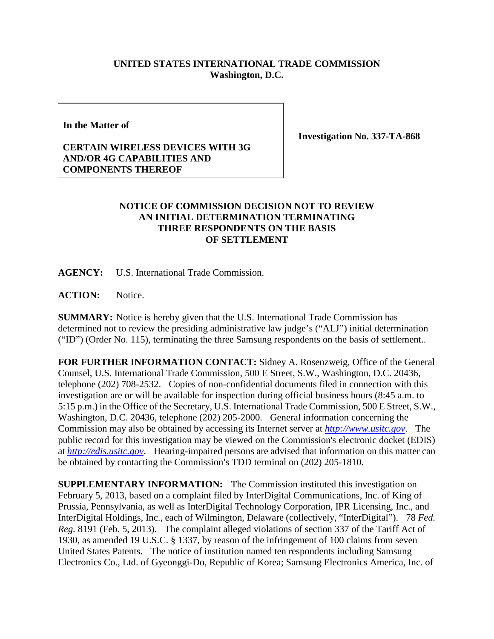## **UNITED STATES INTERNATIONAL TRADE COMMISSION Washington, D.C.**

**In the Matter of**

**Investigation No. 337-TA-868**

## **CERTAIN WIRELESS DEVICES WITH 3G AND/OR 4G CAPABILITIES AND COMPONENTS THEREOF**

## **NOTICE OF COMMISSION DECISION NOT TO REVIEW AN INITIAL DETERMINATION TERMINATING THREE RESPONDENTS ON THE BASIS OF SETTLEMENT**

**AGENCY:** U.S. International Trade Commission.

**ACTION:** Notice.

**SUMMARY:** Notice is hereby given that the U.S. International Trade Commission has determined not to review the presiding administrative law judge's ("ALJ") initial determination ("ID") (Order No. 115), terminating the three Samsung respondents on the basis of settlement..

**FOR FURTHER INFORMATION CONTACT:** Sidney A. Rosenzweig, Office of the General Counsel, U.S. International Trade Commission, 500 E Street, S.W., Washington, D.C. 20436, telephone (202) 708-2532. Copies of non-confidential documents filed in connection with this investigation are or will be available for inspection during official business hours (8:45 a.m. to 5:15 p.m.) in the Office of the Secretary, U.S. International Trade Commission, 500 E Street, S.W., Washington, D.C. 20436, telephone (202) 205-2000. General information concerning the Commission may also be obtained by accessing its Internet server at *[http://www.usitc.gov](http://www.usitc.gov/)*. The public record for this investigation may be viewed on the Commission's electronic docket (EDIS) at *[http://edis.usitc.gov](http://edis.usitc.gov/)*. Hearing-impaired persons are advised that information on this matter can be obtained by contacting the Commission's TDD terminal on (202) 205-1810.

**SUPPLEMENTARY INFORMATION:** The Commission instituted this investigation on February 5, 2013, based on a complaint filed by InterDigital Communications, Inc. of King of Prussia, Pennsylvania, as well as InterDigital Technology Corporation, IPR Licensing, Inc., and InterDigital Holdings, Inc., each of Wilmington, Delaware (collectively, "InterDigital"). 78 *Fed. Reg.* 8191 (Feb. 5, 2013). The complaint alleged violations of section 337 of the Tariff Act of 1930, as amended 19 U.S.C. § 1337, by reason of the infringement of 100 claims from seven United States Patents. The notice of institution named ten respondents including Samsung Electronics Co., Ltd. of Gyeonggi-Do, Republic of Korea; Samsung Electronics America, Inc. of